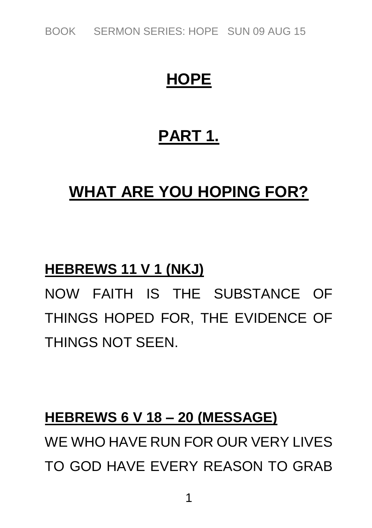*BOOK SERMON SERIES: HOPE SUN 09 AUG 15*

## **HOPE**

## **PART 1.**

## **WHAT ARE YOU HOPING FOR?**

#### **HEBREWS 11 V 1 (NKJ)**

*NOW FAITH IS THE SUBSTANCE OF THINGS HOPED FOR, THE EVIDENCE OF THINGS NOT SEEN.*

#### **HEBREWS 6 V 18 – 20 (MESSAGE)**

*WE WHO HAVE RUN FOR OUR VERY LIVES TO GOD HAVE EVERY REASON TO GRAB*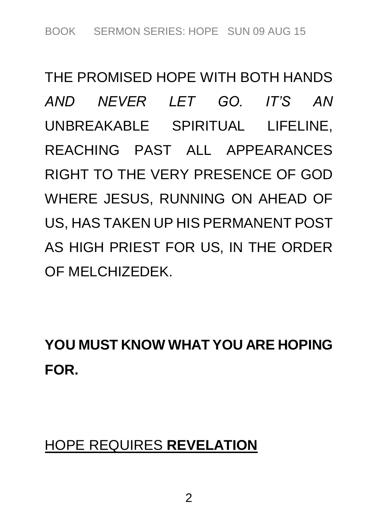*THE PROMISED HOPE WITH BOTH HANDS AND NEVER LET GO. IT'S AN UNBREAKABLE SPIRITUAL LIFELINE, REACHING PAST ALL APPEARANCES RIGHT TO THE VERY PRESENCE OF GOD WHERE JESUS, RUNNING ON AHEAD OF US, HAS TAKEN UP HIS PERMANENT POST AS HIGH PRIEST FOR US, IN THE ORDER OF MELCHIZEDEK.*

**YOU MUST KNOW WHAT YOU ARE HOPING FOR.**

## *HOPE REQUIRES* **REVELATION**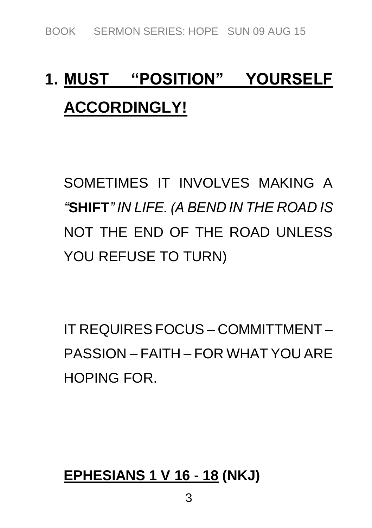# **1. MUST "POSITION" YOURSELF ACCORDINGLY!**

*SOMETIMES IT INVOLVES MAKING A "***SHIFT***" IN LIFE. (A BEND IN THE ROAD IS NOT THE END OF THE ROAD UNLESS YOU REFUSE TO TURN)*

*IT REQUIRES FOCUS – COMMITTMENT – PASSION – FAITH – FOR WHAT YOU ARE HOPING FOR.*

## **EPHESIANS 1 V 16 - 18 (NKJ)**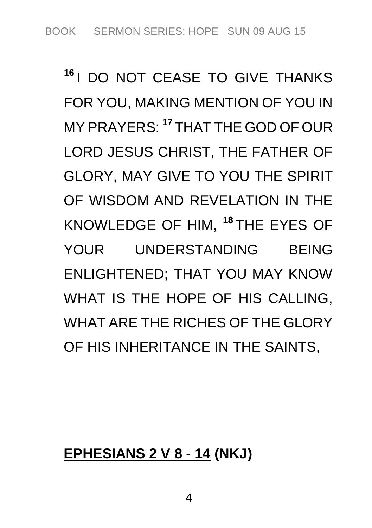**<sup>16</sup>** *I DO NOT CEASE TO GIVE THANKS FOR YOU, MAKING MENTION OF YOU IN MY PRAYERS:* **<sup>17</sup>** *THAT THE GOD OF OUR LORD JESUS CHRIST, THE FATHER OF GLORY, MAY GIVE TO YOU THE SPIRIT OF WISDOM AND REVELATION IN THE KNOWLEDGE OF HIM,* **<sup>18</sup>** *THE EYES OF YOUR UNDERSTANDING BEING ENLIGHTENED; THAT YOU MAY KNOW WHAT IS THE HOPE OF HIS CALLING, WHAT ARE THE RICHES OF THE GLORY OF HIS INHERITANCE IN THE SAINTS,*

#### **EPHESIANS 2 V 8 - 14 (NKJ)**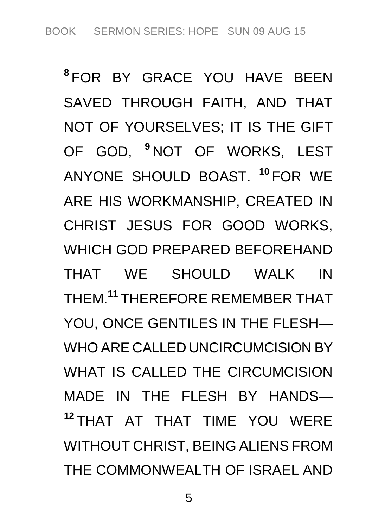**8** *FOR BY GRACE YOU HAVE BEEN SAVED THROUGH FAITH, AND THAT NOT OF YOURSELVES; IT IS THE GIFT OF GOD,* **<sup>9</sup>** *NOT OF WORKS, LEST ANYONE SHOULD BOAST.* **<sup>10</sup>** *FOR WE ARE HIS WORKMANSHIP, CREATED IN CHRIST JESUS FOR GOOD WORKS, WHICH GOD PREPARED BEFOREHAND THAT WE SHOULD WALK IN THEM.***<sup>11</sup>** *THEREFORE REMEMBER THAT YOU, ONCE GENTILES IN THE FLESH— WHO ARE CALLED UNCIRCUMCISION BY WHAT IS CALLED THE CIRCUMCISION MADE IN THE FLESH BY HANDS—* **<sup>12</sup>** *THAT AT THAT TIME YOU WERE WITHOUT CHRIST, BEING ALIENS FROM THE COMMONWEALTH OF ISRAEL AND*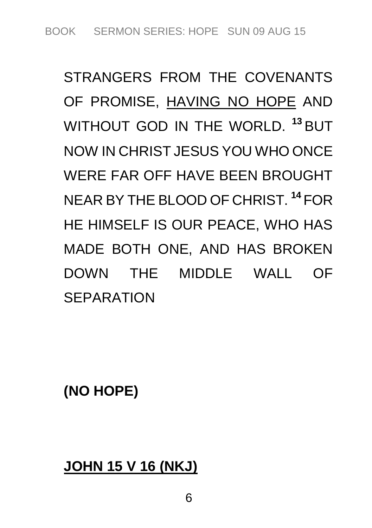*STRANGERS FROM THE COVENANTS OF PROMISE, HAVING NO HOPE AND WITHOUT GOD IN THE WORLD.* **<sup>13</sup>** *BUT NOW IN CHRIST JESUS YOU WHO ONCE WERE FAR OFF HAVE BEEN BROUGHT NEAR BY THE BLOOD OF CHRIST.* **<sup>14</sup>** *FOR HE HIMSELF IS OUR PEACE, WHO HAS MADE BOTH ONE, AND HAS BROKEN DOWN THE MIDDLE WALL OF SEPARATION*

**(NO HOPE)**

#### **JOHN 15 V 16 (NKJ)**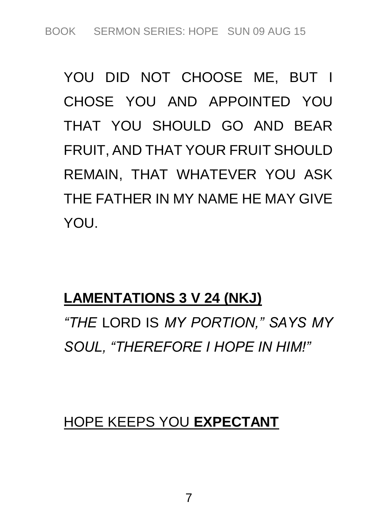*YOU DID NOT CHOOSE ME, BUT I CHOSE YOU AND APPOINTED YOU THAT YOU SHOULD GO AND BEAR FRUIT, AND THAT YOUR FRUIT SHOULD REMAIN, THAT WHATEVER YOU ASK THE FATHER IN MY NAME HE MAY GIVE YOU.*

#### **LAMENTATIONS 3 V 24 (NKJ)**

*"THE LORD IS MY PORTION," SAYS MY SOUL, "THEREFORE I HOPE IN HIM!"*

#### *HOPE KEEPS YOU* **EXPECTANT**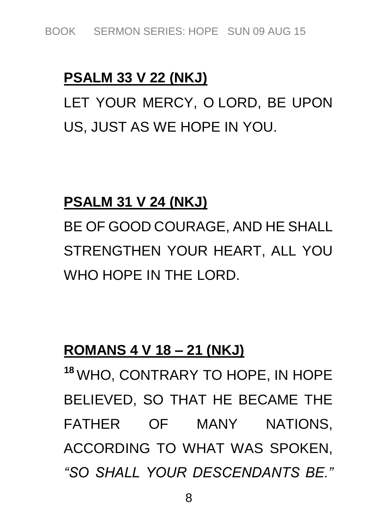#### **PSALM 33 V 22 (NKJ)**

*LET YOUR MERCY, O LORD, BE UPON US, JUST AS WE HOPE IN YOU.*

#### **PSALM 31 V 24 (NKJ)**

*BE OF GOOD COURAGE, AND HE SHALL STRENGTHEN YOUR HEART, ALL YOU WHO HOPE IN THE LORD.*

#### **ROMANS 4 V 18 – 21 (NKJ)**

**<sup>18</sup>** *WHO, CONTRARY TO HOPE, IN HOPE BELIEVED, SO THAT HE BECAME THE FATHER OF MANY NATIONS, ACCORDING TO WHAT WAS SPOKEN, "SO SHALL YOUR DESCENDANTS BE."*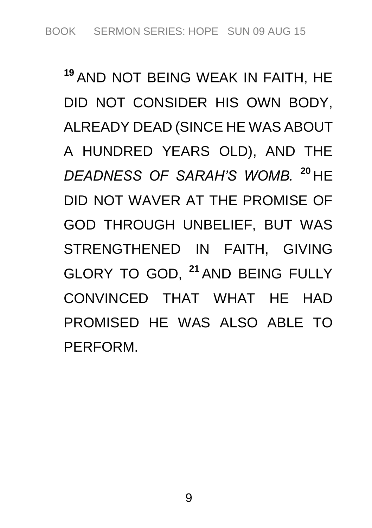**<sup>19</sup>** *AND NOT BEING WEAK IN FAITH, HE DID NOT CONSIDER HIS OWN BODY, ALREADY DEAD (SINCE HE WAS ABOUT A HUNDRED YEARS OLD), AND THE DEADNESS OF SARAH'S WOMB.* **<sup>20</sup>** *HE DID NOT WAVER AT THE PROMISE OF GOD THROUGH UNBELIEF, BUT WAS STRENGTHENED IN FAITH, GIVING GLORY TO GOD,* **<sup>21</sup>** *AND BEING FULLY CONVINCED THAT WHAT HE HAD PROMISED HE WAS ALSO ABLE TO PERFORM.*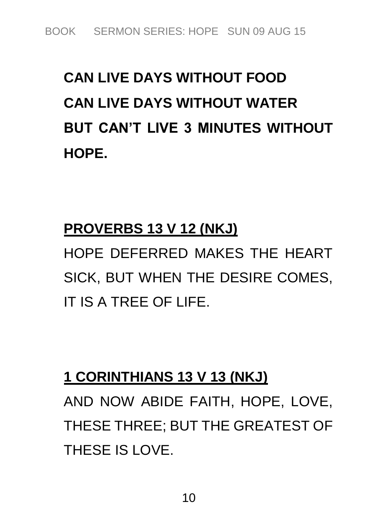# **CAN LIVE DAYS WITHOUT FOOD CAN LIVE DAYS WITHOUT WATER BUT CAN'T LIVE 3 MINUTES WITHOUT HOPE.**

## **PROVERBS 13 V 12 (NKJ)**

*HOPE DEFERRED MAKES THE HEART SICK, BUT WHEN THE DESIRE COMES, IT IS A TREE OF LIFE.*

## **1 CORINTHIANS 13 V 13 (NKJ)**

*AND NOW ABIDE FAITH, HOPE, LOVE, THESE THREE; BUT THE GREATEST OF THESE IS LOVE.*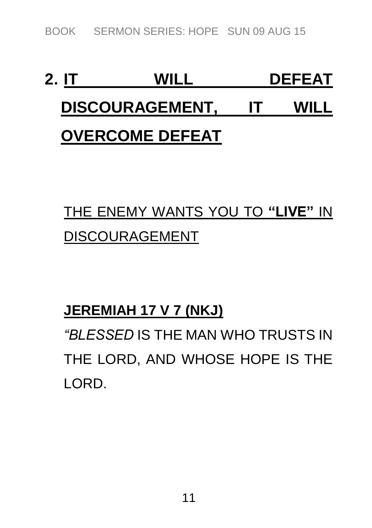*BOOK SERMON SERIES: HOPE SUN 09 AUG 15*

# **2. IT WILL DEFEAT DISCOURAGEMENT, IT WILL OVERCOME DEFEAT**

# *THE ENEMY WANTS YOU TO* **"LIVE"** *IN DISCOURAGEMENT*

## **JEREMIAH 17 V 7 (NKJ)**

*"BLESSED IS THE MAN WHO TRUSTS IN THE LORD, AND WHOSE HOPE IS THE LORD.*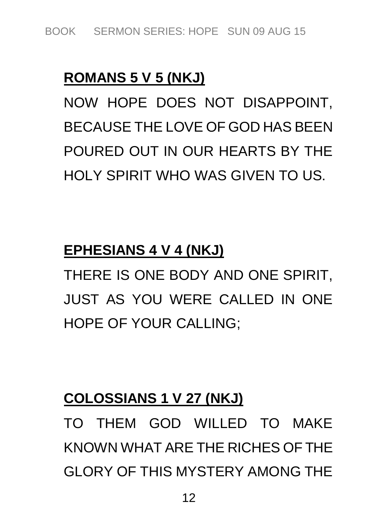## **ROMANS 5 V 5 (NKJ)**

*NOW HOPE DOES NOT DISAPPOINT, BECAUSE THE LOVE OF GOD HAS BEEN POURED OUT IN OUR HEARTS BY THE HOLY SPIRIT WHO WAS GIVEN TO US.*

### **EPHESIANS 4 V 4 (NKJ)**

*THERE IS ONE BODY AND ONE SPIRIT, JUST AS YOU WERE CALLED IN ONE HOPE OF YOUR CALLING;*

## **COLOSSIANS 1 V 27 (NKJ)**

*TO THEM GOD WILLED TO MAKE KNOWN WHAT ARE THE RICHES OF THE GLORY OF THIS MYSTERY AMONG THE*